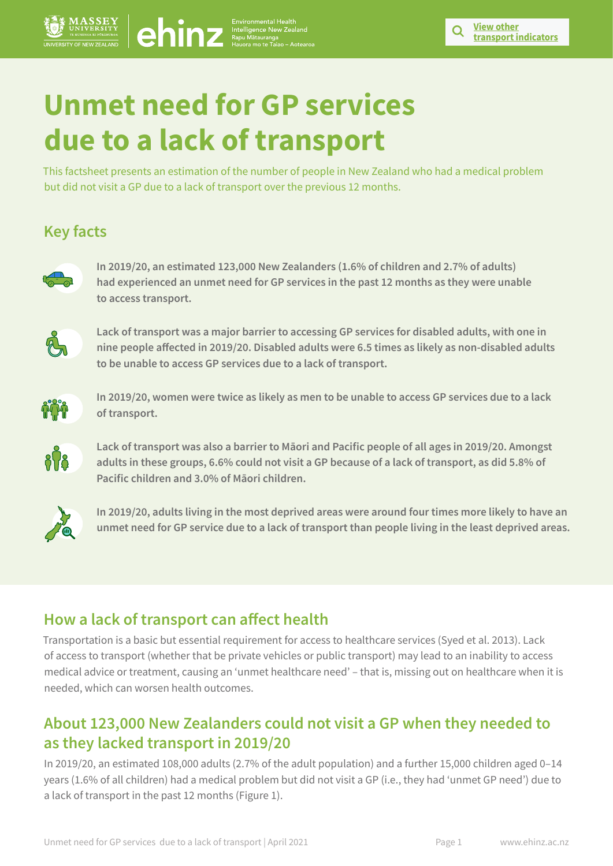# **Unmet need for GP services due to a lack of transport**

 $\begin{array}{c} \begin{array}{c} \text{Environmental H} \\ \text{Interligence New  
Hayu Mätauranga} \end{array} \end{array}$ 

This factsheet presents an estimation of the number of people in New Zealand who had a medical problem but did not visit a GP due to a lack of transport over the previous 12 months.

# **Key facts**



**In 2019/20, an estimated 123,000 New Zealanders (1.6% of children and 2.7% of adults) had experienced an unmet need for GP services in the past 12 months as they were unable to access transport.** 



**Lack of transport was a major barrier to accessing GP services for disabled adults, with one in nine people affected in 2019/20. Disabled adults were 6.5 times as likely as non-disabled adults to be unable to access GP services due to a lack of transport.**



**In 2019/20, women were twice as likely as men to be unable to access GP services due to a lack of transport.**



**Lack of transport was also a barrier to Māori and Pacific people of all ages in 2019/20. Amongst adults in these groups, 6.6% could not visit a GP because of a lack of transport, as did 5.8% of Pacific children and 3.0% of Māori children.**



**In 2019/20, adults living in the most deprived areas were around four times more likely to have an unmet need for GP service due to a lack of transport than people living in the least deprived areas.**

# **How a lack of transport can affect health**

Transportation is a basic but essential requirement for access to healthcare services (Syed et al. 2013). Lack of access to transport (whether that be private vehicles or public transport) may lead to an inability to access medical advice or treatment, causing an 'unmet healthcare need' – that is, missing out on healthcare when it is needed, which can worsen health outcomes.

## **About 123,000 New Zealanders could not visit a GP when they needed to as they lacked transport in 2019/20**

In 2019/20, an estimated 108,000 adults (2.7% of the adult population) and a further 15,000 children aged 0–14 years (1.6% of all children) had a medical problem but did not visit a GP (i.e., they had 'unmet GP need') due to a lack of transport in the past 12 months (Figure 1).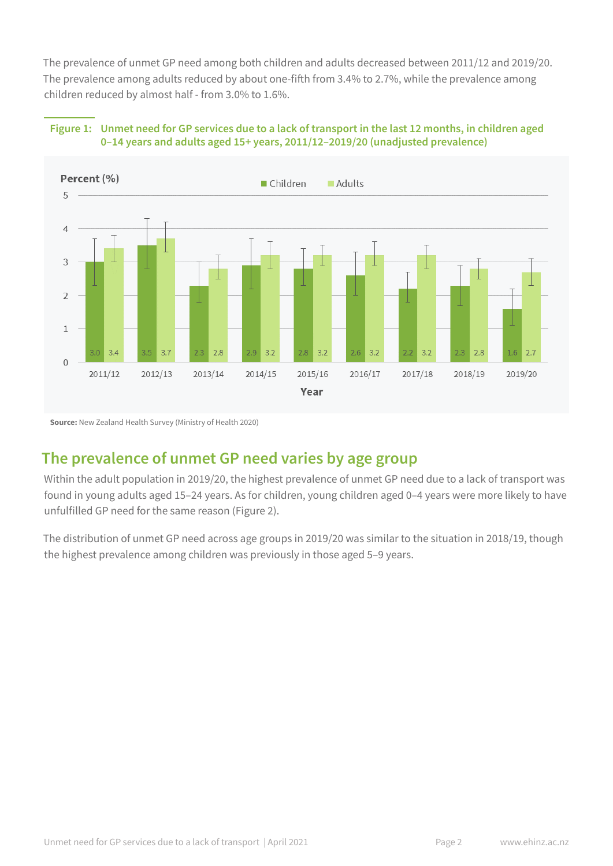The prevalence of unmet GP need among both children and adults decreased between 2011/12 and 2019/20. The prevalence among adults reduced by about one-fifth from 3.4% to 2.7%, while the prevalence among children reduced by almost half - from 3.0% to 1.6%.





**Source:** New Zealand Health Survey (Ministry of Health 2020)

### **The prevalence of unmet GP need varies by age group**

Within the adult population in 2019/20, the highest prevalence of unmet GP need due to a lack of transport was found in young adults aged 15–24 years. As for children, young children aged 0–4 years were more likely to have unfulfilled GP need for the same reason (Figure 2).

The distribution of unmet GP need across age groups in 2019/20 was similar to the situation in 2018/19, though the highest prevalence among children was previously in those aged 5–9 years.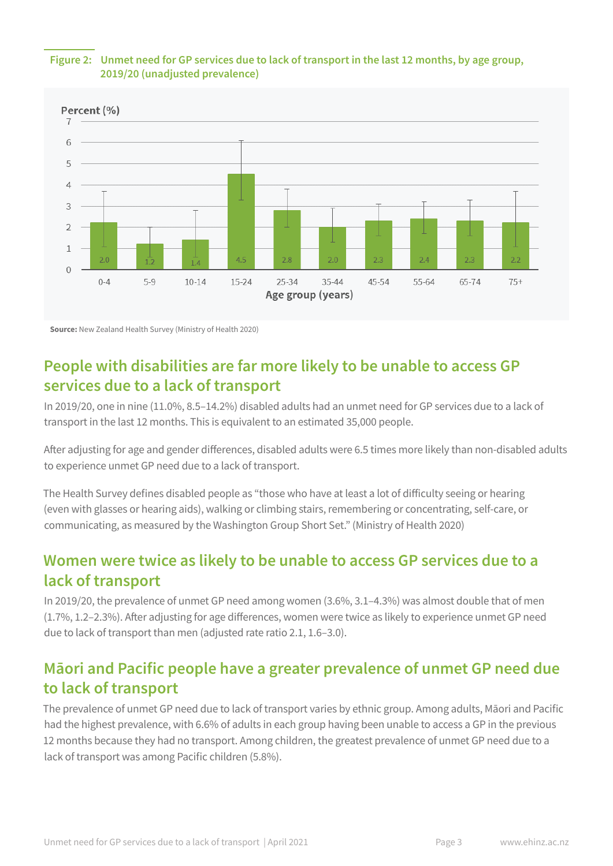

### **Figure 2: Unmet need for GP services due to lack of transport in the last 12 months, by age group, 2019/20 (unadjusted prevalence)**

**Source:** New Zealand Health Survey (Ministry of Health 2020)

# **People with disabilities are far more likely to be unable to access GP services due to a lack of transport**

In 2019/20, one in nine (11.0%, 8.5–14.2%) disabled adults had an unmet need for GP services due to a lack of transport in the last 12 months. This is equivalent to an estimated 35,000 people.

After adjusting for age and gender differences, disabled adults were 6.5 times more likely than non-disabled adults to experience unmet GP need due to a lack of transport.

The Health Survey defines disabled people as "those who have at least a lot of difficulty seeing or hearing (even with glasses or hearing aids), walking or climbing stairs, remembering or concentrating, self-care, or communicating, as measured by the Washington Group Short Set." (Ministry of Health 2020)

# **Women were twice as likely to be unable to access GP services due to a lack of transport**

In 2019/20, the prevalence of unmet GP need among women (3.6%, 3.1–4.3%) was almost double that of men (1.7%, 1.2–2.3%). After adjusting for age differences, women were twice as likely to experience unmet GP need due to lack of transport than men (adjusted rate ratio 2.1, 1.6–3.0).

# **Māori and Pacific people have a greater prevalence of unmet GP need due to lack of transport**

The prevalence of unmet GP need due to lack of transport varies by ethnic group. Among adults, Māori and Pacific had the highest prevalence, with 6.6% of adults in each group having been unable to access a GP in the previous 12 months because they had no transport. Among children, the greatest prevalence of unmet GP need due to a lack of transport was among Pacific children (5.8%).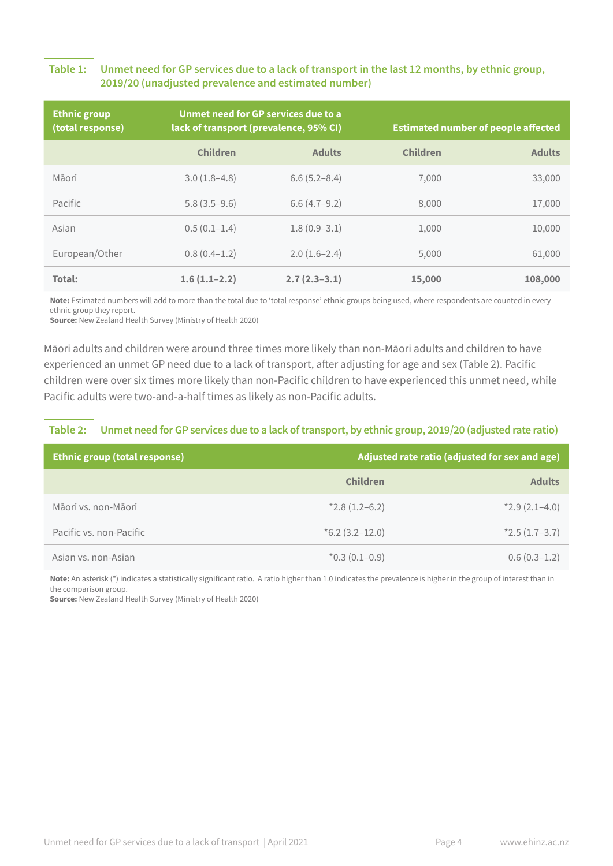### **Table 1: Unmet need for GP services due to a lack of transport in the last 12 months, by ethnic group, 2019/20 (unadjusted prevalence and estimated number)**

| <b>Ethnic group</b><br>(total response) | Unmet need for GP services due to a<br>lack of transport (prevalence, 95% CI) |                  | <b>Estimated number of people affected</b> |               |
|-----------------------------------------|-------------------------------------------------------------------------------|------------------|--------------------------------------------|---------------|
|                                         | <b>Children</b>                                                               | <b>Adults</b>    | <b>Children</b>                            | <b>Adults</b> |
| Māori                                   | $3.0(1.8-4.8)$                                                                | $6.6(5.2 - 8.4)$ | 7,000                                      | 33,000        |
| Pacific                                 | $5.8(3.5-9.6)$                                                                | $6.6(4.7-9.2)$   | 8.000                                      | 17,000        |
| Asian                                   | $0.5(0.1-1.4)$                                                                | $1.8(0.9-3.1)$   | 1,000                                      | 10,000        |
| European/Other                          | $0.8(0.4-1.2)$                                                                | $2.0(1.6-2.4)$   | 5,000                                      | 61,000        |
| Total:                                  | $1.6(1.1-2.2)$                                                                | $2.7(2.3-3.1)$   | 15,000                                     | 108,000       |

**Note:** Estimated numbers will add to more than the total due to 'total response' ethnic groups being used, where respondents are counted in every ethnic group they report.

**Source:** New Zealand Health Survey (Ministry of Health 2020)

Māori adults and children were around three times more likely than non-Māori adults and children to have experienced an unmet GP need due to a lack of transport, after adjusting for age and sex (Table 2). Pacific children were over six times more likely than non-Pacific children to have experienced this unmet need, while Pacific adults were two-and-a-half times as likely as non-Pacific adults.

### **Table 2: Unmet need for GP services due to a lack of transport, by ethnic group, 2019/20 (adjusted rate ratio)**

| <b>Ethnic group (total response)</b> | Adjusted rate ratio (adjusted for sex and age) |                 |
|--------------------------------------|------------------------------------------------|-----------------|
|                                      | <b>Children</b>                                | <b>Adults</b>   |
| Māori vs. non-Māori                  | $*2.8(1.2-6.2)$                                | $*2.9(2.1-4.0)$ |
| Pacific vs. non-Pacific              | $*6.2(3.2-12.0)$                               | $*2.5(1.7-3.7)$ |
| Asian vs. non-Asian                  | $*0.3(0.1-0.9)$                                | $0.6(0.3-1.2)$  |

**Note:** An asterisk (\*) indicates a statistically significant ratio. A ratio higher than 1.0 indicates the prevalence is higher in the group of interest than in the comparison group.

**Source:** New Zealand Health Survey (Ministry of Health 2020)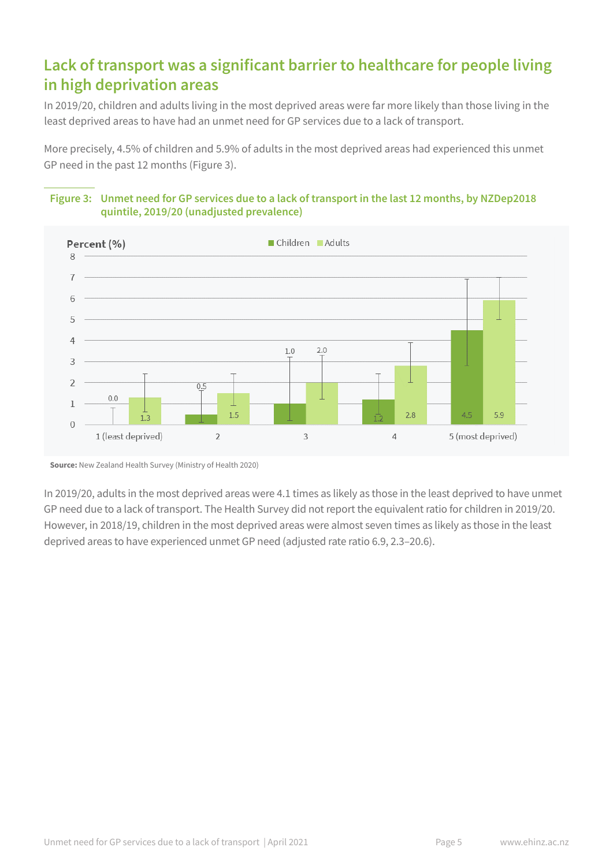# **Lack of transport was a significant barrier to healthcare for people living in high deprivation areas**

In 2019/20, children and adults living in the most deprived areas were far more likely than those living in the least deprived areas to have had an unmet need for GP services due to a lack of transport.

More precisely, 4.5% of children and 5.9% of adults in the most deprived areas had experienced this unmet GP need in the past 12 months (Figure 3).

### **Figure 3: Unmet need for GP services due to a lack of transport in the last 12 months, by NZDep2018 quintile, 2019/20 (unadjusted prevalence)**



**Source:** New Zealand Health Survey (Ministry of Health 2020)

In 2019/20, adults in the most deprived areas were 4.1 times as likely as those in the least deprived to have unmet GP need due to a lack of transport. The Health Survey did not report the equivalent ratio for children in 2019/20. However, in 2018/19, children in the most deprived areas were almost seven times as likely as those in the least deprived areas to have experienced unmet GP need (adjusted rate ratio 6.9, 2.3–20.6).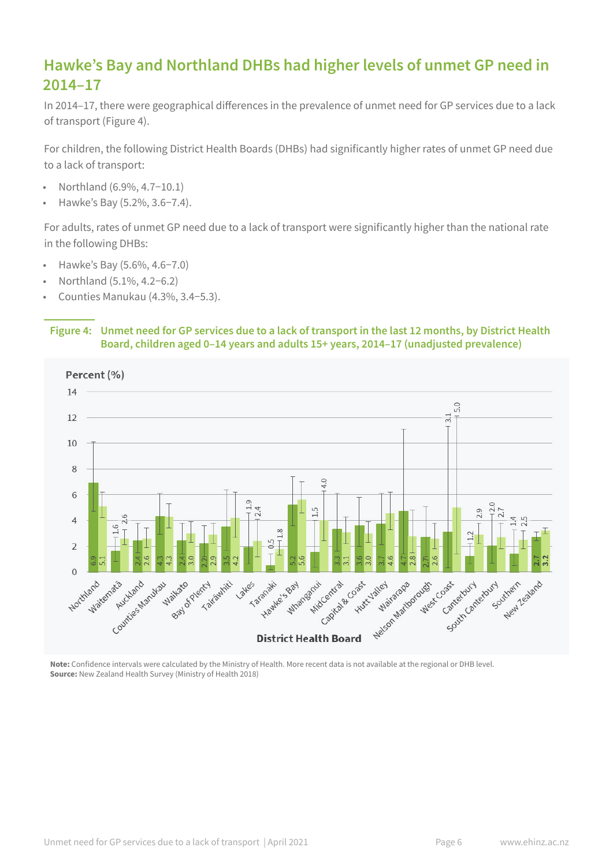# **Hawke's Bay and Northland DHBs had higher levels of unmet GP need in 2014–17**

In 2014–17, there were geographical differences in the prevalence of unmet need for GP services due to a lack of transport (Figure 4).

For children, the following District Health Boards (DHBs) had significantly higher rates of unmet GP need due to a lack of transport:

- Northland (6.9%, 4.7−10.1)
- Hawke's Bay (5.2%, 3.6−7.4).

For adults, rates of unmet GP need due to a lack of transport were significantly higher than the national rate in the following DHBs:

- Hawke's Bay (5.6%, 4.6−7.0)
- Northland (5.1%, 4.2−6.2)
- Counties Manukau (4.3%, 3.4−5.3).

#### **Figure 4: Unmet need for GP services due to a lack of transport in the last 12 months, by District Health Board, children aged 0–14 years and adults 15+ years, 2014–17 (unadjusted prevalence)**



**Note:** Confidence intervals were calculated by the Ministry of Health. More recent data is not available at the regional or DHB level. **Source:** New Zealand Health Survey (Ministry of Health 2018)